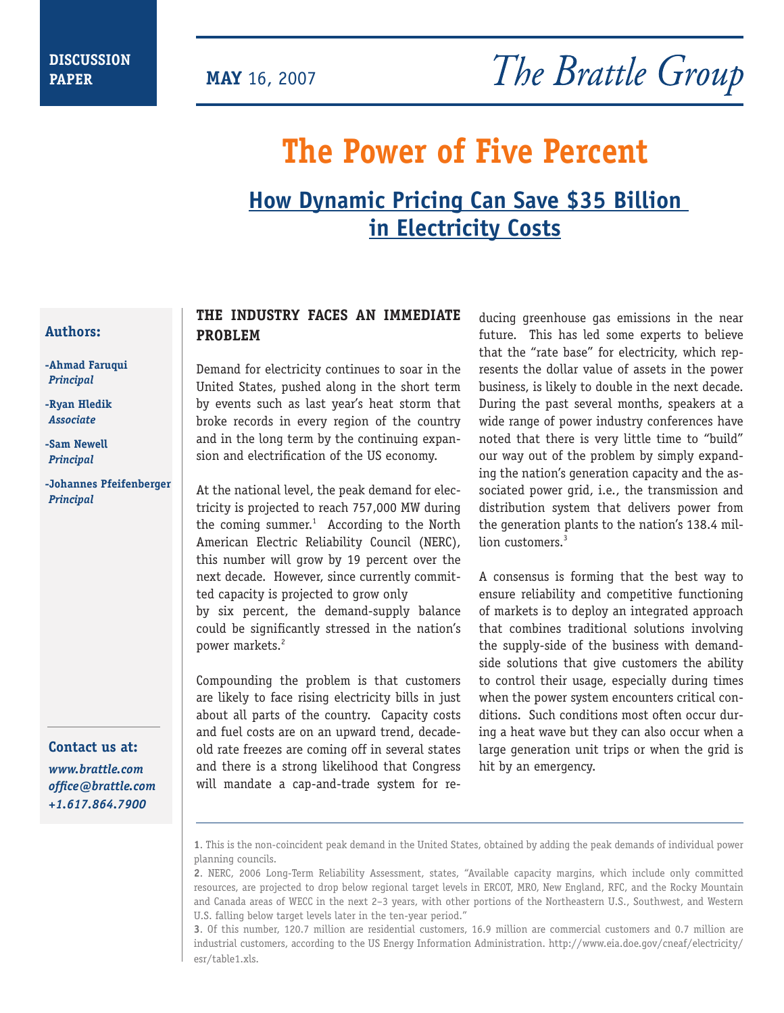**PAPER MAY** 16, 2007

# **The Power of Five Percent**

## **How Dynamic Pricing Can Save \$35 Billion in Electricity Costs**

#### **Authors:**

- **-Ahmad Faruqui**   *Principal*
- **-Ryan Hledik**  *Associate*
- **-Sam Newell**  *Principal*
- **-Johannes Pfeifenberger**  *Principal*

**Contact us at:** *www.brattle.com office@brattle.com +1.617.864.7900*

#### **THE INDUSTRY FACES AN IMMEDIATE PROBLEM**

Demand for electricity continues to soar in the United States, pushed along in the short term by events such as last year's heat storm that broke records in every region of the country and in the long term by the continuing expansion and electrification of the US economy.

At the national level, the peak demand for electricity is projected to reach 757,000 MW during the coming summer. $1$  According to the North American Electric Reliability Council (NERC), this number will grow by 19 percent over the next decade. However, since currently committed capacity is projected to grow only by six percent, the demand-supply balance could be significantly stressed in the nation's power markets.<sup>2</sup>

Compounding the problem is that customers are likely to face rising electricity bills in just about all parts of the country. Capacity costs and fuel costs are on an upward trend, decadeold rate freezes are coming off in several states and there is a strong likelihood that Congress will mandate a cap-and-trade system for reducing greenhouse gas emissions in the near future. This has led some experts to believe that the "rate base" for electricity, which represents the dollar value of assets in the power business, is likely to double in the next decade. During the past several months, speakers at a wide range of power industry conferences have noted that there is very little time to "build" our way out of the problem by simply expanding the nation's generation capacity and the associated power grid, i.e., the transmission and distribution system that delivers power from the generation plants to the nation's 138.4 million customers.<sup>3</sup>

A consensus is forming that the best way to ensure reliability and competitive functioning of markets is to deploy an integrated approach that combines traditional solutions involving the supply-side of the business with demandside solutions that give customers the ability to control their usage, especially during times when the power system encounters critical conditions. Such conditions most often occur during a heat wave but they can also occur when a large generation unit trips or when the grid is hit by an emergency.

**1**. This is the non-coincident peak demand in the United States, obtained by adding the peak demands of individual power planning councils.

**3**. Of this number, 120.7 million are residential customers, 16.9 million are commercial customers and 0.7 million are industrial customers, according to the US Energy Information Administration. http://www.eia.doe.gov/cneaf/electricity/ esr/table1.xls.

**<sup>2</sup>**. NERC, 2006 Long-Term Reliability Assessment, states, "Available capacity margins, which include only committed resources, are projected to drop below regional target levels in ERCOT, MRO, New England, RFC, and the Rocky Mountain and Canada areas of WECC in the next 2–3 years, with other portions of the Northeastern U.S., Southwest, and Western U.S. falling below target levels later in the ten-year period."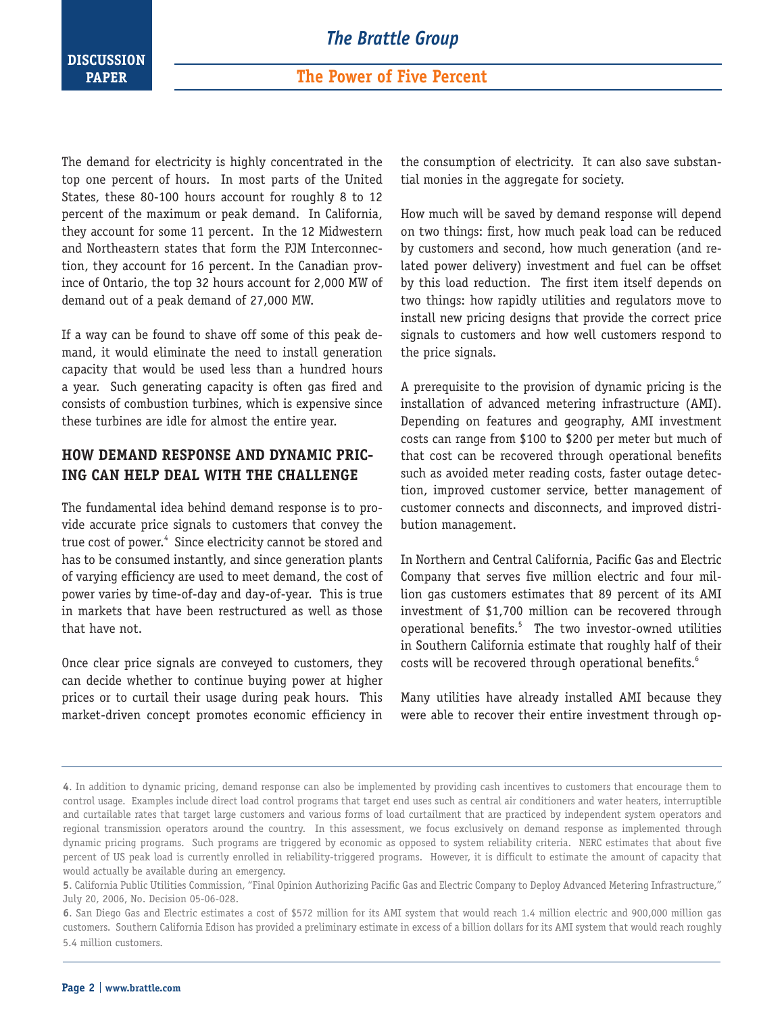The demand for electricity is highly concentrated in the top one percent of hours. In most parts of the United States, these 80-100 hours account for roughly 8 to 12 percent of the maximum or peak demand. In California, they account for some 11 percent. In the 12 Midwestern and Northeastern states that form the PJM Interconnection, they account for 16 percent. In the Canadian province of Ontario, the top 32 hours account for 2,000 MW of demand out of a peak demand of 27,000 MW.

If a way can be found to shave off some of this peak demand, it would eliminate the need to install generation capacity that would be used less than a hundred hours a year. Such generating capacity is often gas fired and consists of combustion turbines, which is expensive since these turbines are idle for almost the entire year.

#### **HOW DEMAND RESPONSE AND DYNAMIC PRIC-ING CAN HELP DEAL WITH THE CHALLENGE**

The fundamental idea behind demand response is to provide accurate price signals to customers that convey the true cost of power.<sup>4</sup> Since electricity cannot be stored and has to be consumed instantly, and since generation plants of varying efficiency are used to meet demand, the cost of power varies by time-of-day and day-of-year. This is true in markets that have been restructured as well as those that have not.

Once clear price signals are conveyed to customers, they can decide whether to continue buying power at higher prices or to curtail their usage during peak hours. This market-driven concept promotes economic efficiency in the consumption of electricity. It can also save substantial monies in the aggregate for society.

How much will be saved by demand response will depend on two things: first, how much peak load can be reduced by customers and second, how much generation (and related power delivery) investment and fuel can be offset by this load reduction. The first item itself depends on two things: how rapidly utilities and regulators move to install new pricing designs that provide the correct price signals to customers and how well customers respond to the price signals.

A prerequisite to the provision of dynamic pricing is the installation of advanced metering infrastructure (AMI). Depending on features and geography, AMI investment costs can range from \$100 to \$200 per meter but much of that cost can be recovered through operational benefits such as avoided meter reading costs, faster outage detection, improved customer service, better management of customer connects and disconnects, and improved distribution management.

In Northern and Central California, Pacific Gas and Electric Company that serves five million electric and four million gas customers estimates that 89 percent of its AMI investment of \$1,700 million can be recovered through operational benefits.<sup>5</sup> The two investor-owned utilities in Southern California estimate that roughly half of their costs will be recovered through operational benefits.<sup>6</sup>

Many utilities have already installed AMI because they were able to recover their entire investment through op-

**<sup>4</sup>**. In addition to dynamic pricing, demand response can also be implemented by providing cash incentives to customers that encourage them to control usage. Examples include direct load control programs that target end uses such as central air conditioners and water heaters, interruptible and curtailable rates that target large customers and various forms of load curtailment that are practiced by independent system operators and regional transmission operators around the country. In this assessment, we focus exclusively on demand response as implemented through dynamic pricing programs. Such programs are triggered by economic as opposed to system reliability criteria. NERC estimates that about five percent of US peak load is currently enrolled in reliability-triggered programs. However, it is difficult to estimate the amount of capacity that would actually be available during an emergency.

**<sup>5</sup>**. California Public Utilities Commission, "Final Opinion Authorizing Pacific Gas and Electric Company to Deploy Advanced Metering Infrastructure," July 20, 2006, No. Decision 05-06-028.

**<sup>6</sup>**. San Diego Gas and Electric estimates a cost of \$572 million for its AMI system that would reach 1.4 million electric and 900,000 million gas customers. Southern California Edison has provided a preliminary estimate in excess of a billion dollars for its AMI system that would reach roughly 5.4 million customers.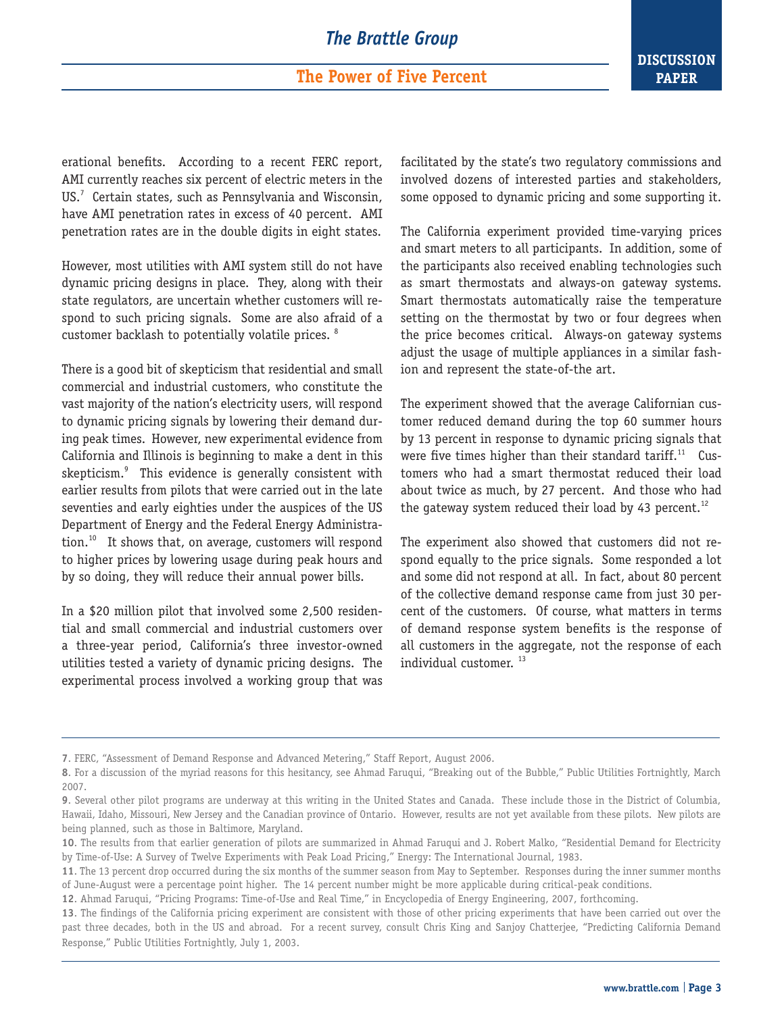#### **The Power of Five Percent**

**DISCUSSION PAPER**

erational benefits. According to a recent FERC report, AMI currently reaches six percent of electric meters in the US.<sup>7</sup> Certain states, such as Pennsylvania and Wisconsin, have AMI penetration rates in excess of 40 percent. AMI penetration rates are in the double digits in eight states.

However, most utilities with AMI system still do not have dynamic pricing designs in place. They, along with their state regulators, are uncertain whether customers will respond to such pricing signals. Some are also afraid of a customer backlash to potentially volatile prices. <sup>8</sup>

There is a good bit of skepticism that residential and small commercial and industrial customers, who constitute the vast majority of the nation's electricity users, will respond to dynamic pricing signals by lowering their demand during peak times. However, new experimental evidence from California and Illinois is beginning to make a dent in this skepticism.<sup>9</sup> This evidence is generally consistent with earlier results from pilots that were carried out in the late seventies and early eighties under the auspices of the US Department of Energy and the Federal Energy Administration.<sup>10</sup> It shows that, on average, customers will respond to higher prices by lowering usage during peak hours and by so doing, they will reduce their annual power bills.

In a \$20 million pilot that involved some 2,500 residential and small commercial and industrial customers over a three-year period, California's three investor-owned utilities tested a variety of dynamic pricing designs. The experimental process involved a working group that was facilitated by the state's two regulatory commissions and involved dozens of interested parties and stakeholders, some opposed to dynamic pricing and some supporting it.

The California experiment provided time-varying prices and smart meters to all participants. In addition, some of the participants also received enabling technologies such as smart thermostats and always-on gateway systems. Smart thermostats automatically raise the temperature setting on the thermostat by two or four degrees when the price becomes critical. Always-on gateway systems adjust the usage of multiple appliances in a similar fashion and represent the state-of-the art.

The experiment showed that the average Californian customer reduced demand during the top 60 summer hours by 13 percent in response to dynamic pricing signals that were five times higher than their standard tariff. $11$  Customers who had a smart thermostat reduced their load about twice as much, by 27 percent. And those who had the gateway system reduced their load by 43 percent.<sup>12</sup>

The experiment also showed that customers did not respond equally to the price signals. Some responded a lot and some did not respond at all. In fact, about 80 percent of the collective demand response came from just 30 percent of the customers. Of course, what matters in terms of demand response system benefits is the response of all customers in the aggregate, not the response of each individual customer.<sup>13</sup>

**12**. Ahmad Faruqui, "Pricing Programs: Time-of-Use and Real Time," in Encyclopedia of Energy Engineering, 2007, forthcoming.

**<sup>7</sup>**. FERC, "Assessment of Demand Response and Advanced Metering," Staff Report, August 2006.

**<sup>8</sup>**. For a discussion of the myriad reasons for this hesitancy, see Ahmad Faruqui, "Breaking out of the Bubble," Public Utilities Fortnightly, March 2007.

**<sup>9</sup>**. Several other pilot programs are underway at this writing in the United States and Canada. These include those in the District of Columbia, Hawaii, Idaho, Missouri, New Jersey and the Canadian province of Ontario. However, results are not yet available from these pilots. New pilots are being planned, such as those in Baltimore, Maryland.

**<sup>10</sup>**. The results from that earlier generation of pilots are summarized in Ahmad Faruqui and J. Robert Malko, "Residential Demand for Electricity by Time-of-Use: A Survey of Twelve Experiments with Peak Load Pricing," Energy: The International Journal, 1983.

**<sup>11</sup>**. The 13 percent drop occurred during the six months of the summer season from May to September. Responses during the inner summer months of June-August were a percentage point higher. The 14 percent number might be more applicable during critical-peak conditions.

**<sup>13</sup>**. The findings of the California pricing experiment are consistent with those of other pricing experiments that have been carried out over the past three decades, both in the US and abroad. For a recent survey, consult Chris King and Sanjoy Chatterjee, "Predicting California Demand Response," Public Utilities Fortnightly, July 1, 2003.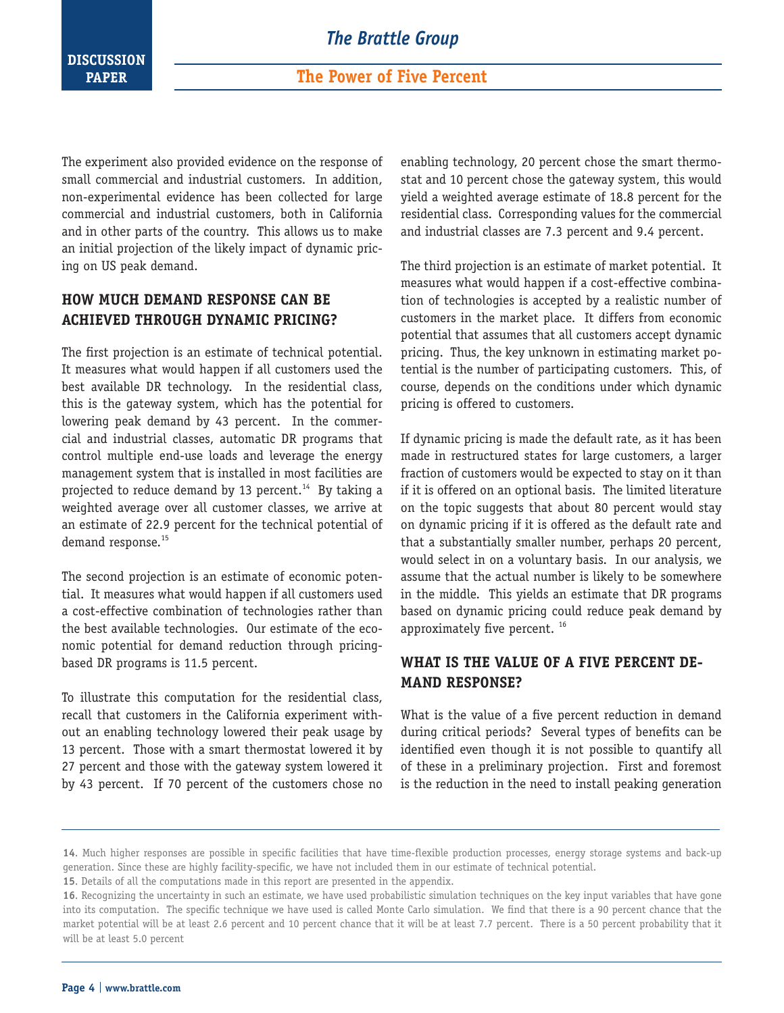The experiment also provided evidence on the response of small commercial and industrial customers. In addition, non-experimental evidence has been collected for large commercial and industrial customers, both in California and in other parts of the country. This allows us to make an initial projection of the likely impact of dynamic pricing on US peak demand.

#### **HOW MUCH DEMAND RESPONSE CAN BE ACHIEVED THROUGH DYNAMIC PRICING?**

The first projection is an estimate of technical potential. It measures what would happen if all customers used the best available DR technology. In the residential class, this is the gateway system, which has the potential for lowering peak demand by 43 percent. In the commercial and industrial classes, automatic DR programs that control multiple end-use loads and leverage the energy management system that is installed in most facilities are projected to reduce demand by 13 percent.<sup>14</sup> By taking a weighted average over all customer classes, we arrive at an estimate of 22.9 percent for the technical potential of demand response.<sup>15</sup>

The second projection is an estimate of economic potential. It measures what would happen if all customers used a cost-effective combination of technologies rather than the best available technologies. Our estimate of the economic potential for demand reduction through pricingbased DR programs is 11.5 percent.

To illustrate this computation for the residential class, recall that customers in the California experiment without an enabling technology lowered their peak usage by 13 percent. Those with a smart thermostat lowered it by 27 percent and those with the gateway system lowered it by 43 percent. If 70 percent of the customers chose no

enabling technology, 20 percent chose the smart thermostat and 10 percent chose the gateway system, this would yield a weighted average estimate of 18.8 percent for the residential class. Corresponding values for the commercial and industrial classes are 7.3 percent and 9.4 percent.

The third projection is an estimate of market potential. It measures what would happen if a cost-effective combination of technologies is accepted by a realistic number of customers in the market place. It differs from economic potential that assumes that all customers accept dynamic pricing. Thus, the key unknown in estimating market potential is the number of participating customers. This, of course, depends on the conditions under which dynamic pricing is offered to customers.

If dynamic pricing is made the default rate, as it has been made in restructured states for large customers, a larger fraction of customers would be expected to stay on it than if it is offered on an optional basis. The limited literature on the topic suggests that about 80 percent would stay on dynamic pricing if it is offered as the default rate and that a substantially smaller number, perhaps 20 percent, would select in on a voluntary basis. In our analysis, we assume that the actual number is likely to be somewhere in the middle. This yields an estimate that DR programs based on dynamic pricing could reduce peak demand by approximately five percent.<sup>16</sup>

#### **WHAT IS THE VALUE OF A FIVE PERCENT DE-MAND RESPONSE?**

What is the value of a five percent reduction in demand during critical periods? Several types of benefits can be identified even though it is not possible to quantify all of these in a preliminary projection. First and foremost is the reduction in the need to install peaking generation

**<sup>14</sup>**. Much higher responses are possible in specific facilities that have time-flexible production processes, energy storage systems and back-up generation. Since these are highly facility-specific, we have not included them in our estimate of technical potential.

**<sup>15</sup>**. Details of all the computations made in this report are presented in the appendix.

<sup>16.</sup> Recognizing the uncertainty in such an estimate, we have used probabilistic simulation techniques on the key input variables that have gone into its computation. The specific technique we have used is called Monte Carlo simulation. We find that there is a 90 percent chance that the market potential will be at least 2.6 percent and 10 percent chance that it will be at least 7.7 percent. There is a 50 percent probability that it will be at least 5.0 percent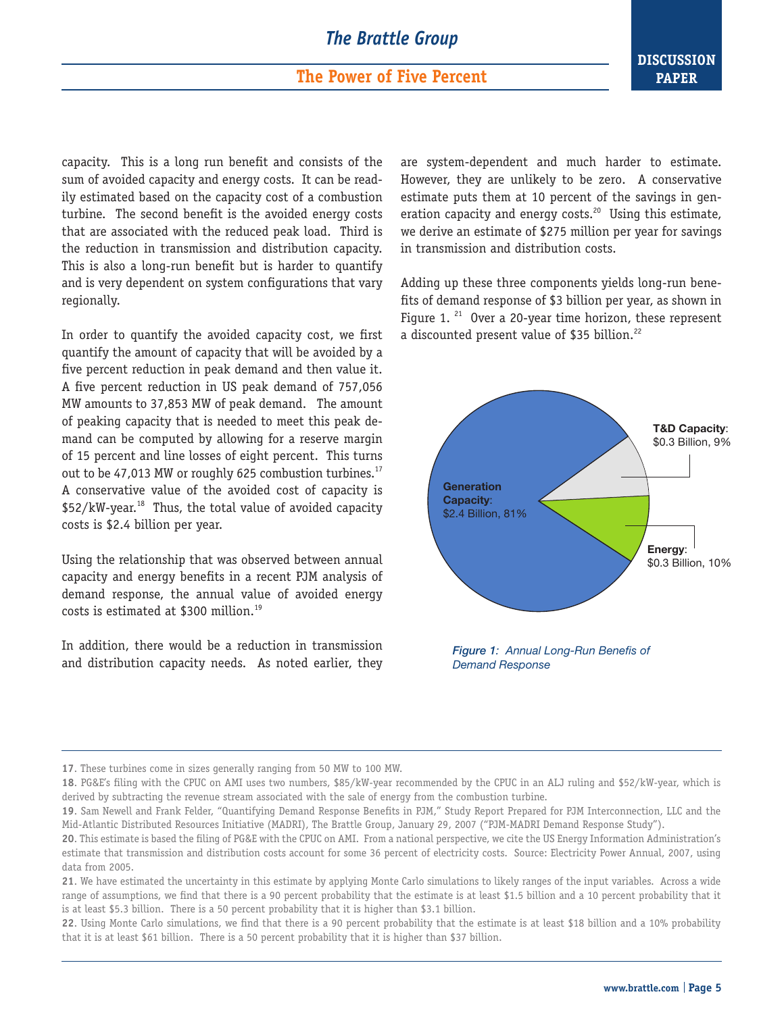#### **The Power of Five Percent**

capacity. This is a long run benefit and consists of the sum of avoided capacity and energy costs. It can be readily estimated based on the capacity cost of a combustion turbine. The second benefit is the avoided energy costs that are associated with the reduced peak load. Third is the reduction in transmission and distribution capacity. This is also a long-run benefit but is harder to quantify and is very dependent on system configurations that vary regionally.

In order to quantify the avoided capacity cost, we first quantify the amount of capacity that will be avoided by a five percent reduction in peak demand and then value it. A five percent reduction in US peak demand of 757,056 MW amounts to 37,853 MW of peak demand. The amount of peaking capacity that is needed to meet this peak demand can be computed by allowing for a reserve margin of 15 percent and line losses of eight percent. This turns out to be 47,013 MW or roughly 625 combustion turbines.<sup>17</sup> A conservative value of the avoided cost of capacity is \$52/kW-year.<sup>18</sup> Thus, the total value of avoided capacity costs is \$2.4 billion per year.

Using the relationship that was observed between annual capacity and energy benefits in a recent PJM analysis of demand response, the annual value of avoided energy costs is estimated at \$300 million.<sup>19</sup>

In addition, there would be a reduction in transmission and distribution capacity needs. As noted earlier, they are system-dependent and much harder to estimate. However, they are unlikely to be zero. A conservative estimate puts them at 10 percent of the savings in generation capacity and energy costs.<sup>20</sup> Using this estimate, we derive an estimate of \$275 million per year for savings in transmission and distribution costs.

Adding up these three components yields long-run benefits of demand response of \$3 billion per year, as shown in Figure 1.  $21$  Over a 20-year time horizon, these represent a discounted present value of \$35 billion.<sup>22</sup>



*Figure 1: Annual Long-Run Benefis of Demand Response*

**17**. These turbines come in sizes generally ranging from 50 MW to 100 MW.

**18**. PG&E's filing with the CPUC on AMI uses two numbers, \$85/kW-year recommended by the CPUC in an ALJ ruling and \$52/kW-year, which is derived by subtracting the revenue stream associated with the sale of energy from the combustion turbine.

**19**. Sam Newell and Frank Felder, "Quantifying Demand Response Benefits in PJM," Study Report Prepared for PJM Interconnection, LLC and the Mid-Atlantic Distributed Resources Initiative (MADRI), The Brattle Group, January 29, 2007 ("PJM-MADRI Demand Response Study").

**21**. We have estimated the uncertainty in this estimate by applying Monte Carlo simulations to likely ranges of the input variables. Across a wide range of assumptions, we find that there is a 90 percent probability that the estimate is at least \$1.5 billion and a 10 percent probability that it is at least \$5.3 billion. There is a 50 percent probability that it is higher than \$3.1 billion.

**22**. Using Monte Carlo simulations, we find that there is a 90 percent probability that the estimate is at least \$18 billion and a 10% probability that it is at least \$61 billion. There is a 50 percent probability that it is higher than \$37 billion.

**<sup>20</sup>**. This estimate is based the filing of PG&E with the CPUC on AMI. From a national perspective, we cite the US Energy Information Administration's estimate that transmission and distribution costs account for some 36 percent of electricity costs. Source: Electricity Power Annual, 2007, using data from 2005.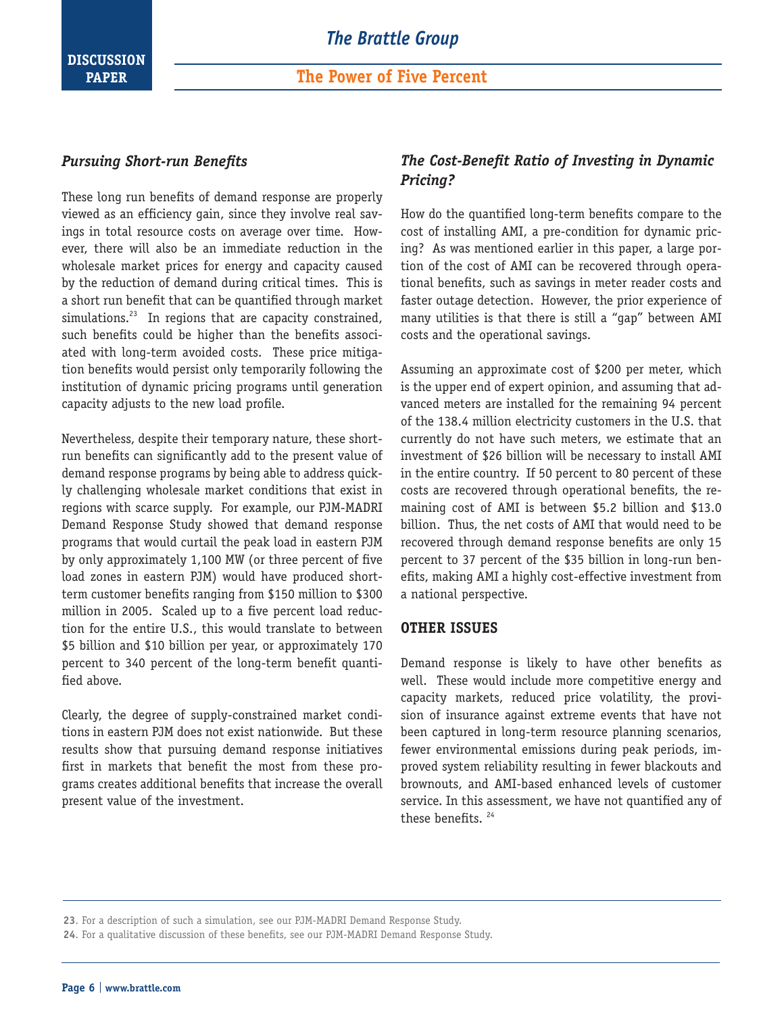

#### *Pursuing Short-run Benefits*

These long run benefits of demand response are properly viewed as an efficiency gain, since they involve real savings in total resource costs on average over time. However, there will also be an immediate reduction in the wholesale market prices for energy and capacity caused by the reduction of demand during critical times. This is a short run benefit that can be quantified through market simulations.<sup>23</sup> In regions that are capacity constrained, such benefits could be higher than the benefits associated with long-term avoided costs. These price mitigation benefits would persist only temporarily following the institution of dynamic pricing programs until generation capacity adjusts to the new load profile.

Nevertheless, despite their temporary nature, these shortrun benefits can significantly add to the present value of demand response programs by being able to address quickly challenging wholesale market conditions that exist in regions with scarce supply. For example, our PJM-MADRI Demand Response Study showed that demand response programs that would curtail the peak load in eastern PJM by only approximately 1,100 MW (or three percent of five load zones in eastern PJM) would have produced shortterm customer benefits ranging from \$150 million to \$300 million in 2005. Scaled up to a five percent load reduction for the entire U.S., this would translate to between \$5 billion and \$10 billion per year, or approximately 170 percent to 340 percent of the long-term benefit quantified above.

Clearly, the degree of supply-constrained market conditions in eastern PJM does not exist nationwide. But these results show that pursuing demand response initiatives first in markets that benefit the most from these programs creates additional benefits that increase the overall present value of the investment.

#### *The Cost-Benefit Ratio of Investing in Dynamic Pricing?*

How do the quantified long-term benefits compare to the cost of installing AMI, a pre-condition for dynamic pricing? As was mentioned earlier in this paper, a large portion of the cost of AMI can be recovered through operational benefits, such as savings in meter reader costs and faster outage detection. However, the prior experience of many utilities is that there is still a "gap" between AMI costs and the operational savings.

Assuming an approximate cost of \$200 per meter, which is the upper end of expert opinion, and assuming that advanced meters are installed for the remaining 94 percent of the 138.4 million electricity customers in the U.S. that currently do not have such meters, we estimate that an investment of \$26 billion will be necessary to install AMI in the entire country. If 50 percent to 80 percent of these costs are recovered through operational benefits, the remaining cost of AMI is between \$5.2 billion and \$13.0 billion. Thus, the net costs of AMI that would need to be recovered through demand response benefits are only 15 percent to 37 percent of the \$35 billion in long-run benefits, making AMI a highly cost-effective investment from a national perspective.

#### **OTHER ISSUES**

Demand response is likely to have other benefits as well. These would include more competitive energy and capacity markets, reduced price volatility, the provision of insurance against extreme events that have not been captured in long-term resource planning scenarios, fewer environmental emissions during peak periods, improved system reliability resulting in fewer blackouts and brownouts, and AMI-based enhanced levels of customer service. In this assessment, we have not quantified any of these benefits.<sup>24</sup>

**<sup>23</sup>**. For a description of such a simulation, see our PJM-MADRI Demand Response Study.

**<sup>24</sup>**. For a qualitative discussion of these benefits, see our PJM-MADRI Demand Response Study.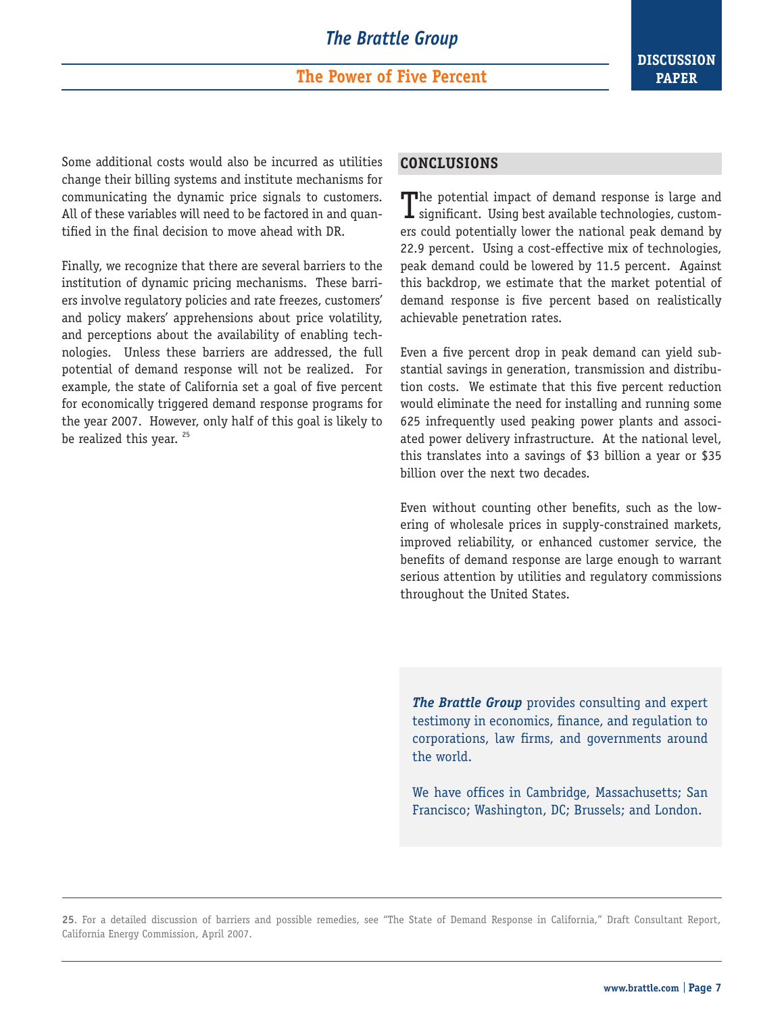**The Power of Five Percent**

Some additional costs would also be incurred as utilities change their billing systems and institute mechanisms for communicating the dynamic price signals to customers. All of these variables will need to be factored in and quantified in the final decision to move ahead with DR.

Finally, we recognize that there are several barriers to the institution of dynamic pricing mechanisms. These barriers involve regulatory policies and rate freezes, customers' and policy makers' apprehensions about price volatility, and perceptions about the availability of enabling technologies. Unless these barriers are addressed, the full potential of demand response will not be realized. For example, the state of California set a goal of five percent for economically triggered demand response programs for the year 2007. However, only half of this goal is likely to be realized this year. <sup>25</sup>

#### **CONCLUSIONS**

The potential impact of demand response is large and  $\perp$  significant. Using best available technologies, customers could potentially lower the national peak demand by 22.9 percent. Using a cost-effective mix of technologies, peak demand could be lowered by 11.5 percent. Against this backdrop, we estimate that the market potential of demand response is five percent based on realistically achievable penetration rates.

Even a five percent drop in peak demand can yield substantial savings in generation, transmission and distribution costs. We estimate that this five percent reduction would eliminate the need for installing and running some 625 infrequently used peaking power plants and associated power delivery infrastructure. At the national level, this translates into a savings of \$3 billion a year or \$35 billion over the next two decades.

Even without counting other benefits, such as the lowering of wholesale prices in supply-constrained markets, improved reliability, or enhanced customer service, the benefits of demand response are large enough to warrant serious attention by utilities and regulatory commissions throughout the United States.

*The Brattle Group* provides consulting and expert testimony in economics, finance, and regulation to corporations, law firms, and governments around the world.

We have offices in Cambridge, Massachusetts; San Francisco; Washington, DC; Brussels; and London.

**25**. For a detailed discussion of barriers and possible remedies, see "The State of Demand Response in California," Draft Consultant Report, California Energy Commission, April 2007.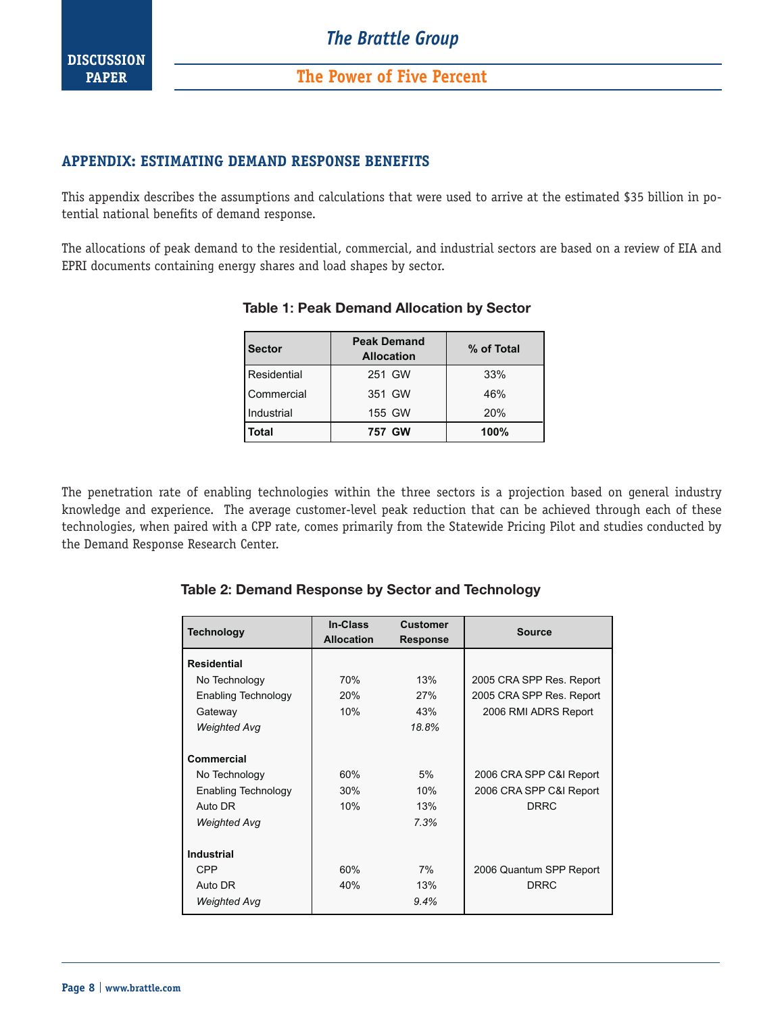

#### **APPENDIX: ESTIMATING DEMAND RESPONSE BENEFITS**

This appendix describes the assumptions and calculations that were used to arrive at the estimated \$35 billion in potential national benefits of demand response.

The allocations of peak demand to the residential, commercial, and industrial sectors are based on a review of EIA and EPRI documents containing energy shares and load shapes by sector.

| <b>Sector</b> | <b>Peak Demand</b><br><b>Allocation</b> | % of Total |
|---------------|-----------------------------------------|------------|
| Residential   | 251 GW                                  | 33%        |
| Commercial    | 351 GW                                  | 46%        |
| Industrial    | 155 GW                                  | 20%        |
| <b>Total</b>  | 757 GW                                  | 100%       |

#### **Table 1**: **Peak Demand Allocation by Sector**

The penetration rate of enabling technologies within the three sectors is a projection based on general industry knowledge and experience. The average customer-level peak reduction that can be achieved through each of these technologies, when paired with a CPP rate, comes primarily from the Statewide Pricing Pilot and studies conducted by the Demand Response Research Center.

| <b>Technology</b>                                                                    | <b>In-Class</b><br><b>Allocation</b> | Customer<br><b>Response</b> | <b>Source</b>                                                     |
|--------------------------------------------------------------------------------------|--------------------------------------|-----------------------------|-------------------------------------------------------------------|
| <b>Residential</b>                                                                   |                                      |                             |                                                                   |
| No Technology                                                                        | 70%                                  | 13%                         | 2005 CRA SPP Res. Report                                          |
| Enabling Technology                                                                  | 20%                                  | 27%                         | 2005 CRA SPP Res. Report                                          |
| Gateway                                                                              | 10%                                  | 43%                         | 2006 RMI ADRS Report                                              |
| <b>Weighted Avg</b>                                                                  |                                      | 18.8%                       |                                                                   |
| Commercial<br>No Technology<br>Enabling Technology<br>Auto DR<br><b>Weighted Avg</b> | 60%<br>30%<br>10%                    | 5%<br>10%<br>13%<br>7.3%    | 2006 CRA SPP C&I Report<br>2006 CRA SPP C&I Report<br><b>DRRC</b> |
| <b>Industrial</b>                                                                    |                                      |                             |                                                                   |
| <b>CPP</b>                                                                           | 60%                                  | 7%                          | 2006 Quantum SPP Report                                           |
| Auto DR                                                                              | 40%                                  | 13%                         | <b>DRRC</b>                                                       |
| <b>Weighted Avg</b>                                                                  |                                      | 9.4%                        |                                                                   |

#### **Table 2**: **Demand Response by Sector and Technology**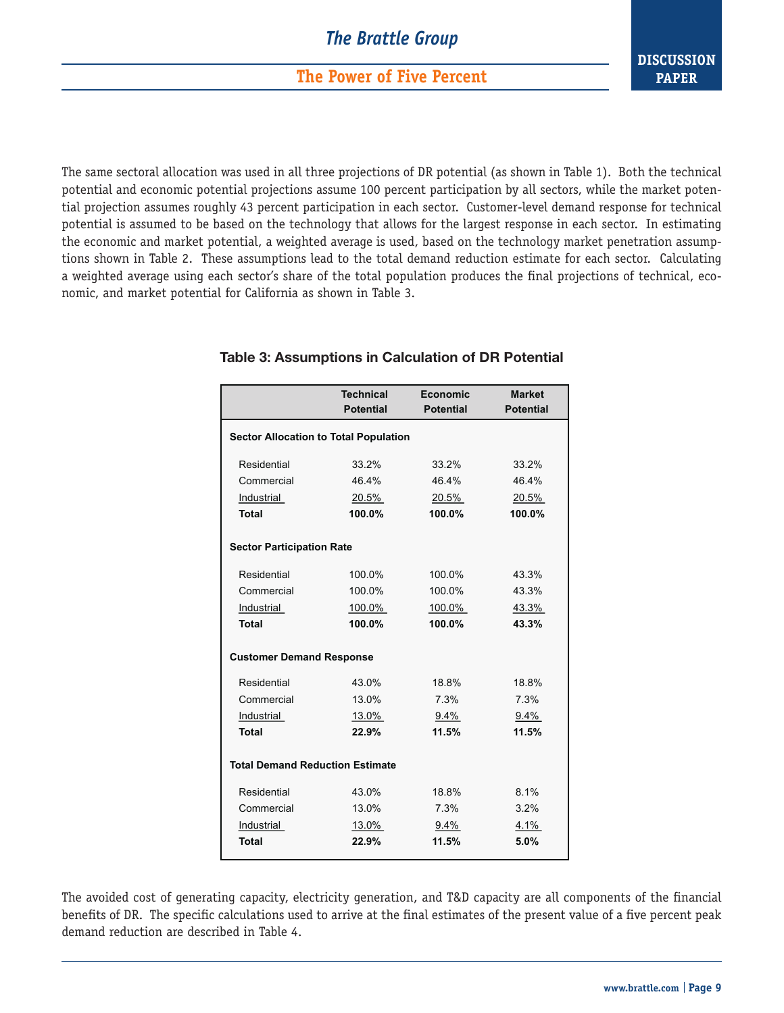**The Power of Five Percent**

The same sectoral allocation was used in all three projections of DR potential (as shown in Table 1). Both the technical potential and economic potential projections assume 100 percent participation by all sectors, while the market potential projection assumes roughly 43 percent participation in each sector. Customer-level demand response for technical potential is assumed to be based on the technology that allows for the largest response in each sector. In estimating the economic and market potential, a weighted average is used, based on the technology market penetration assumptions shown in Table 2. These assumptions lead to the total demand reduction estimate for each sector. Calculating a weighted average using each sector's share of the total population produces the final projections of technical, economic, and market potential for California as shown in Table 3.

|                                        | <b>Technical</b>                             | Economic         | <b>Market</b>    |  |  |
|----------------------------------------|----------------------------------------------|------------------|------------------|--|--|
|                                        | <b>Potential</b>                             | <b>Potential</b> | <b>Potential</b> |  |  |
|                                        | <b>Sector Allocation to Total Population</b> |                  |                  |  |  |
| Residential                            | 33.2%                                        | 33.2%            | 33.2%            |  |  |
| Commercial                             | 46.4%                                        | 46.4%            | 46.4%            |  |  |
| Industrial                             | 20.5%                                        | 20.5%            | 20.5%            |  |  |
| <b>Total</b>                           | 100.0%                                       | 100.0%           | 100.0%           |  |  |
|                                        | <b>Sector Participation Rate</b>             |                  |                  |  |  |
| Residential                            | 100.0%                                       | 100.0%           | 43.3%            |  |  |
| Commercial                             | 100.0%                                       | 100.0%           | 43.3%            |  |  |
| Industrial                             | 100.0%                                       | 100.0%           | 43.3%            |  |  |
| <b>Total</b>                           | 100.0%                                       | 100.0%           | 43.3%            |  |  |
| <b>Customer Demand Response</b>        |                                              |                  |                  |  |  |
| Residential                            | 43.0%                                        | 18.8%            | 18.8%            |  |  |
| Commercial                             | 13.0%                                        | 7.3%             | 7.3%             |  |  |
| Industrial                             | 13.0%                                        | $9.4\%$          | $9.4\%$          |  |  |
| <b>Total</b>                           | 22.9%                                        | 11.5%            | 11.5%            |  |  |
| <b>Total Demand Reduction Estimate</b> |                                              |                  |                  |  |  |
| Residential                            | 43.0%                                        | 18.8%            | 8.1%             |  |  |
| Commercial                             | 13.0%                                        | 7.3%             | 3.2%             |  |  |
| Industrial                             | 13.0%                                        | 9.4%             | 4.1%             |  |  |
| <b>Total</b>                           | 22.9%                                        | 11.5%            | 5.0%             |  |  |

#### **Table 3**: **Assumptions in Calculation of DR Potential**

The avoided cost of generating capacity, electricity generation, and T&D capacity are all components of the financial benefits of DR. The specific calculations used to arrive at the final estimates of the present value of a five percent peak demand reduction are described in Table 4.